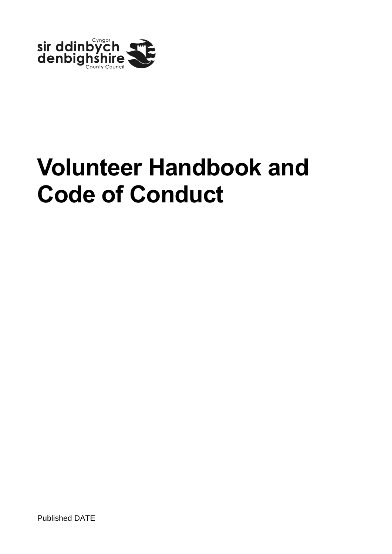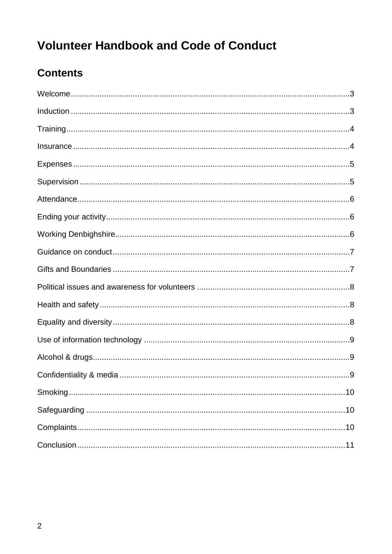# **Contents**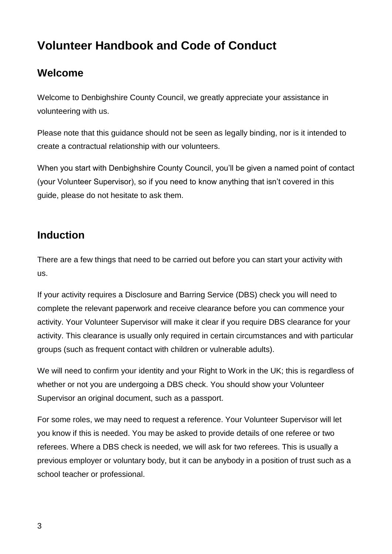## <span id="page-2-0"></span>**Welcome**

Welcome to Denbighshire County Council, we greatly appreciate your assistance in volunteering with us.

Please note that this guidance should not be seen as legally binding, nor is it intended to create a contractual relationship with our volunteers.

When you start with Denbighshire County Council, you'll be given a named point of contact (your Volunteer Supervisor), so if you need to know anything that isn't covered in this guide, please do not hesitate to ask them.

## <span id="page-2-1"></span>**Induction**

There are a few things that need to be carried out before you can start your activity with us.

If your activity requires a Disclosure and Barring Service (DBS) check you will need to complete the relevant paperwork and receive clearance before you can commence your activity. Your Volunteer Supervisor will make it clear if you require DBS clearance for your activity. This clearance is usually only required in certain circumstances and with particular groups (such as frequent contact with children or vulnerable adults).

We will need to confirm your identity and your Right to Work in the UK; this is regardless of whether or not you are undergoing a DBS check. You should show your Volunteer Supervisor an original document, such as a passport.

For some roles, we may need to request a reference. Your Volunteer Supervisor will let you know if this is needed. You may be asked to provide details of one referee or two referees. Where a DBS check is needed, we will ask for two referees. This is usually a previous employer or voluntary body, but it can be anybody in a position of trust such as a school teacher or professional.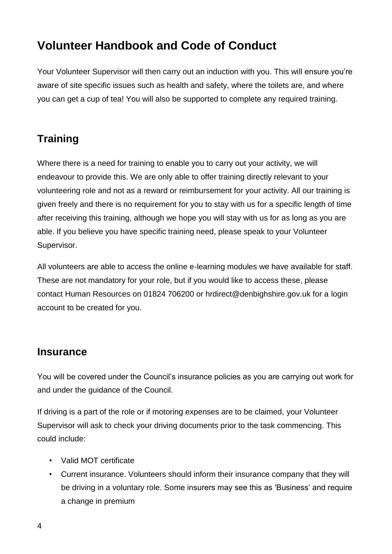Your Volunteer Supervisor will then carry out an induction with you. This will ensure you're aware of site specific issues such as health and safety, where the toilets are, and where you can get a cup of tea! You will also be supported to complete any required training.

## <span id="page-3-0"></span>**Training**

Where there is a need for training to enable you to carry out your activity, we will endeavour to provide this. We are only able to offer training directly relevant to your volunteering role and not as a reward or reimbursement for your activity. All our training is given freely and there is no requirement for you to stay with us for a specific length of time after receiving this training, although we hope you will stay with us for as long as you are able. If you believe you have specific training need, please speak to your Volunteer Supervisor.

All volunteers are able to access the online e-learning modules we have available for staff. These are not mandatory for your role, but if you would like to access these, please contact Human Resources on 01824 706200 or hrdirect@denbighshire.gov.uk for a login account to be created for you.

#### <span id="page-3-1"></span>**Insurance**

You will be covered under the Council's insurance policies as you are carrying out work for and under the guidance of the Council.

If driving is a part of the role or if motoring expenses are to be claimed, your Volunteer Supervisor will ask to check your driving documents prior to the task commencing. This could include:

- Valid MOT certificate
- Current insurance. Volunteers should inform their insurance company that they will be driving in a voluntary role. Some insurers may see this as 'Business' and require a change in premium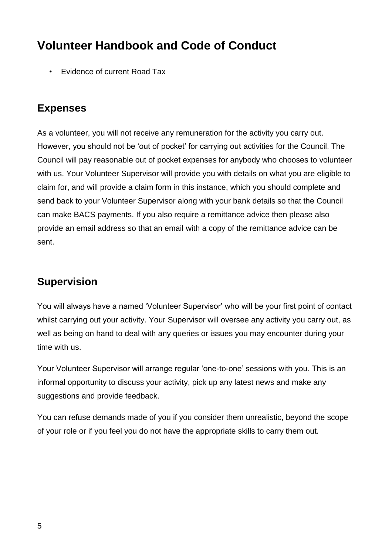• Evidence of current Road Tax

#### <span id="page-4-0"></span>**Expenses**

As a volunteer, you will not receive any remuneration for the activity you carry out. However, you should not be 'out of pocket' for carrying out activities for the Council. The Council will pay reasonable out of pocket expenses for anybody who chooses to volunteer with us. Your Volunteer Supervisor will provide you with details on what you are eligible to claim for, and will provide a claim form in this instance, which you should complete and send back to your Volunteer Supervisor along with your bank details so that the Council can make BACS payments. If you also require a remittance advice then please also provide an email address so that an email with a copy of the remittance advice can be sent.

## <span id="page-4-1"></span>**Supervision**

You will always have a named 'Volunteer Supervisor' who will be your first point of contact whilst carrying out your activity. Your Supervisor will oversee any activity you carry out, as well as being on hand to deal with any queries or issues you may encounter during your time with us.

Your Volunteer Supervisor will arrange regular 'one-to-one' sessions with you. This is an informal opportunity to discuss your activity, pick up any latest news and make any suggestions and provide feedback.

You can refuse demands made of you if you consider them unrealistic, beyond the scope of your role or if you feel you do not have the appropriate skills to carry them out.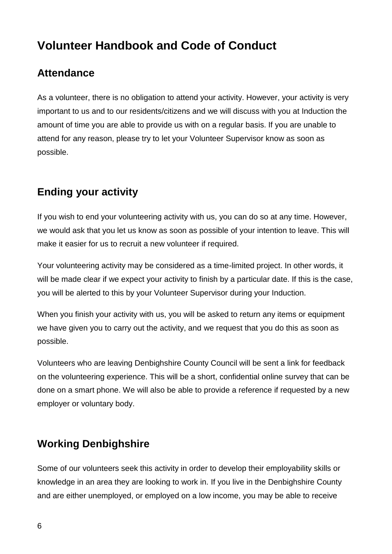## <span id="page-5-0"></span>**Attendance**

As a volunteer, there is no obligation to attend your activity. However, your activity is very important to us and to our residents/citizens and we will discuss with you at Induction the amount of time you are able to provide us with on a regular basis. If you are unable to attend for any reason, please try to let your Volunteer Supervisor know as soon as possible.

## <span id="page-5-1"></span>**Ending your activity**

If you wish to end your volunteering activity with us, you can do so at any time. However, we would ask that you let us know as soon as possible of your intention to leave. This will make it easier for us to recruit a new volunteer if required.

Your volunteering activity may be considered as a time-limited project. In other words, it will be made clear if we expect your activity to finish by a particular date. If this is the case, you will be alerted to this by your Volunteer Supervisor during your Induction.

When you finish your activity with us, you will be asked to return any items or equipment we have given you to carry out the activity, and we request that you do this as soon as possible.

Volunteers who are leaving Denbighshire County Council will be sent a link for feedback on the volunteering experience. This will be a short, confidential online survey that can be done on a smart phone. We will also be able to provide a reference if requested by a new employer or voluntary body.

## <span id="page-5-2"></span>**Working Denbighshire**

Some of our volunteers seek this activity in order to develop their employability skills or knowledge in an area they are looking to work in. If you live in the Denbighshire County and are either unemployed, or employed on a low income, you may be able to receive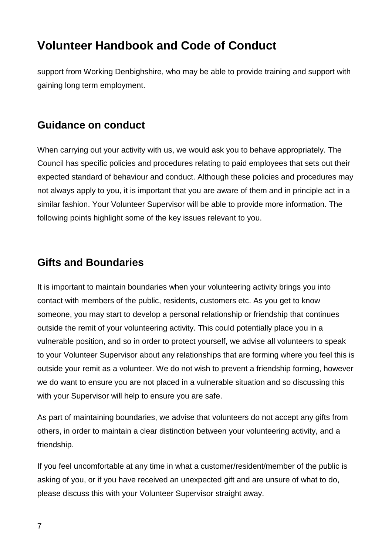support from Working Denbighshire, who may be able to provide training and support with gaining long term employment.

#### <span id="page-6-0"></span>**Guidance on conduct**

When carrying out your activity with us, we would ask you to behave appropriately. The Council has specific policies and procedures relating to paid employees that sets out their expected standard of behaviour and conduct. Although these policies and procedures may not always apply to you, it is important that you are aware of them and in principle act in a similar fashion. Your Volunteer Supervisor will be able to provide more information. The following points highlight some of the key issues relevant to you.

#### <span id="page-6-1"></span>**Gifts and Boundaries**

It is important to maintain boundaries when your volunteering activity brings you into contact with members of the public, residents, customers etc. As you get to know someone, you may start to develop a personal relationship or friendship that continues outside the remit of your volunteering activity. This could potentially place you in a vulnerable position, and so in order to protect yourself, we advise all volunteers to speak to your Volunteer Supervisor about any relationships that are forming where you feel this is outside your remit as a volunteer. We do not wish to prevent a friendship forming, however we do want to ensure you are not placed in a vulnerable situation and so discussing this with your Supervisor will help to ensure you are safe.

As part of maintaining boundaries, we advise that volunteers do not accept any gifts from others, in order to maintain a clear distinction between your volunteering activity, and a friendship.

If you feel uncomfortable at any time in what a customer/resident/member of the public is asking of you, or if you have received an unexpected gift and are unsure of what to do, please discuss this with your Volunteer Supervisor straight away.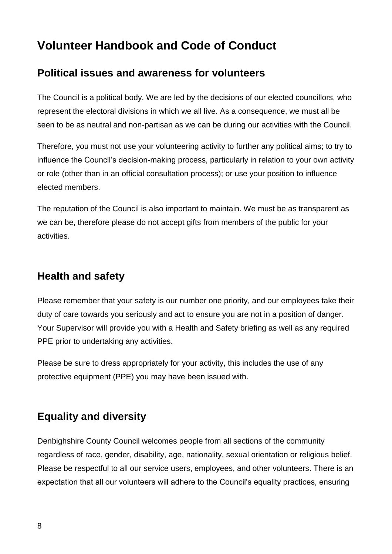#### <span id="page-7-0"></span>**Political issues and awareness for volunteers**

The Council is a political body. We are led by the decisions of our elected councillors, who represent the electoral divisions in which we all live. As a consequence, we must all be seen to be as neutral and non-partisan as we can be during our activities with the Council.

Therefore, you must not use your volunteering activity to further any political aims; to try to influence the Council's decision-making process, particularly in relation to your own activity or role (other than in an official consultation process); or use your position to influence elected members.

The reputation of the Council is also important to maintain. We must be as transparent as we can be, therefore please do not accept gifts from members of the public for your activities.

#### <span id="page-7-1"></span>**Health and safety**

Please remember that your safety is our number one priority, and our employees take their duty of care towards you seriously and act to ensure you are not in a position of danger. Your Supervisor will provide you with a Health and Safety briefing as well as any required PPE prior to undertaking any activities.

Please be sure to dress appropriately for your activity, this includes the use of any protective equipment (PPE) you may have been issued with.

## <span id="page-7-2"></span>**Equality and diversity**

Denbighshire County Council welcomes people from all sections of the community regardless of race, gender, disability, age, nationality, sexual orientation or religious belief. Please be respectful to all our service users, employees, and other volunteers. There is an expectation that all our volunteers will adhere to the Council's equality practices, ensuring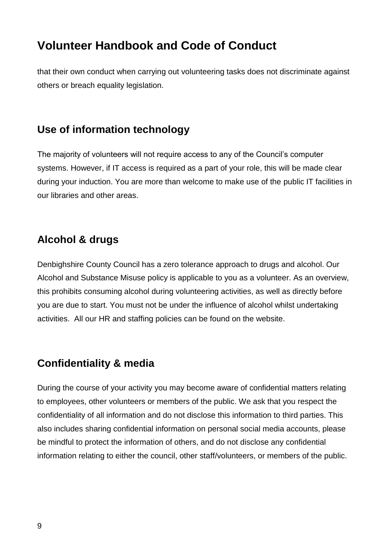that their own conduct when carrying out volunteering tasks does not discriminate against others or breach equality legislation.

#### <span id="page-8-0"></span>**Use of information technology**

The majority of volunteers will not require access to any of the Council's computer systems. However, if IT access is required as a part of your role, this will be made clear during your induction. You are more than welcome to make use of the public IT facilities in our libraries and other areas.

## <span id="page-8-1"></span>**Alcohol & drugs**

Denbighshire County Council has a zero tolerance approach to drugs and alcohol. Our Alcohol and Substance Misuse policy is applicable to you as a volunteer. As an overview, this prohibits consuming alcohol during volunteering activities, as well as directly before you are due to start. You must not be under the influence of alcohol whilst undertaking activities. All our HR and staffing policies can be found on the website.

## <span id="page-8-2"></span>**Confidentiality & media**

During the course of your activity you may become aware of confidential matters relating to employees, other volunteers or members of the public. We ask that you respect the confidentiality of all information and do not disclose this information to third parties. This also includes sharing confidential information on personal social media accounts, please be mindful to protect the information of others, and do not disclose any confidential information relating to either the council, other staff/volunteers, or members of the public.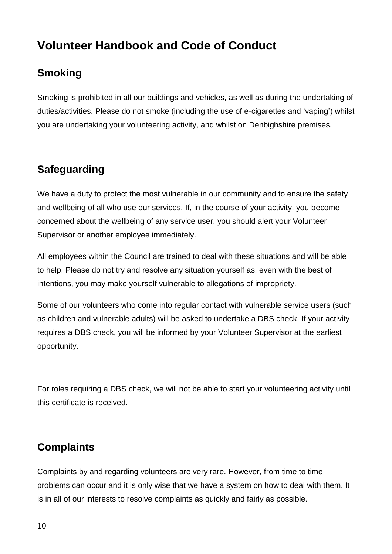## <span id="page-9-0"></span>**Smoking**

Smoking is prohibited in all our buildings and vehicles, as well as during the undertaking of duties/activities. Please do not smoke (including the use of e-cigarettes and 'vaping') whilst you are undertaking your volunteering activity, and whilst on Denbighshire premises.

## <span id="page-9-1"></span>**Safeguarding**

We have a duty to protect the most vulnerable in our community and to ensure the safety and wellbeing of all who use our services. If, in the course of your activity, you become concerned about the wellbeing of any service user, you should alert your Volunteer Supervisor or another employee immediately.

All employees within the Council are trained to deal with these situations and will be able to help. Please do not try and resolve any situation yourself as, even with the best of intentions, you may make yourself vulnerable to allegations of impropriety.

Some of our volunteers who come into regular contact with vulnerable service users (such as children and vulnerable adults) will be asked to undertake a DBS check. If your activity requires a DBS check, you will be informed by your Volunteer Supervisor at the earliest opportunity.

For roles requiring a DBS check, we will not be able to start your volunteering activity until this certificate is received.

## <span id="page-9-2"></span>**Complaints**

Complaints by and regarding volunteers are very rare. However, from time to time problems can occur and it is only wise that we have a system on how to deal with them. It is in all of our interests to resolve complaints as quickly and fairly as possible.